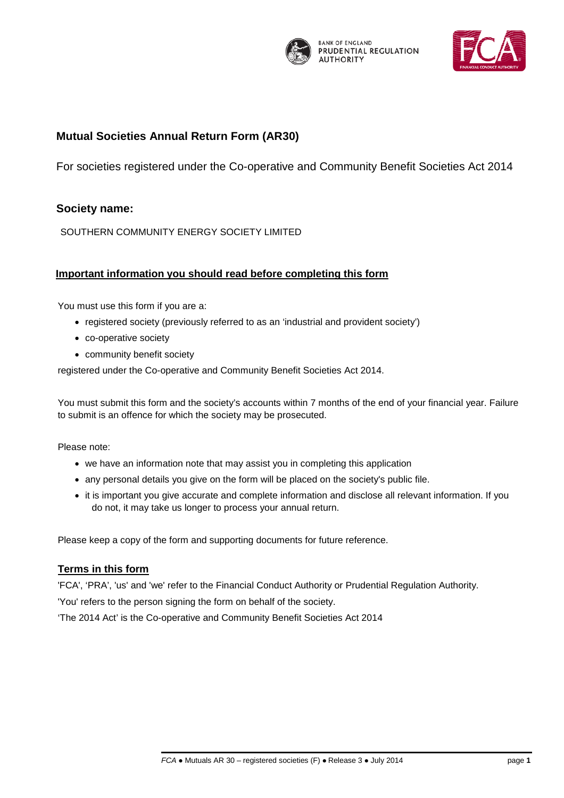

**BANK OF ENGLAND** PRUDENTIAL REGULATION **AUTHORITY** 



# **Mutual Societies Annual Return Mutual Societies Annual Return Form (AR30)**

For societies registered under the Co-operative and Community Benefit Societies Act 2014

# **Society name:**

SOUTHERN COMMUNITY ENERGY SOCIETY LIMITED

## **Important information you should read before completing this form**

You must use this form if you are a:

- registered society (previously referred to as an 'industrial and provident society')
- co-operative society
- community benefit society

registered under the Co-operative and Community Benefit Societies Act 2014.

You must submit this form and the society's accounts within 7 months of the end of your financial year. Failure to submit is an offence for which the society may be prosecuted.

Please note:

- we have an information note that may assist you in completing this application
- any personal details you give on the form will be placed on the society's public file.
- it is important you give accurate and complete information and disclose all relevant information. If you do not, it may take us longer to process your annual return.

Please keep a copy of the form and supporting documents for future reference.

## **Terms in this form**

'FCA', 'PRA', 'us' and 'we' refer to the Financial Conduct Authority or Prudential Regulation Authority.

'You' refers to the person signing the form on behalf of the society.

'The 2014 Act' is the Co-operative and Community Benefit Societies Act 2014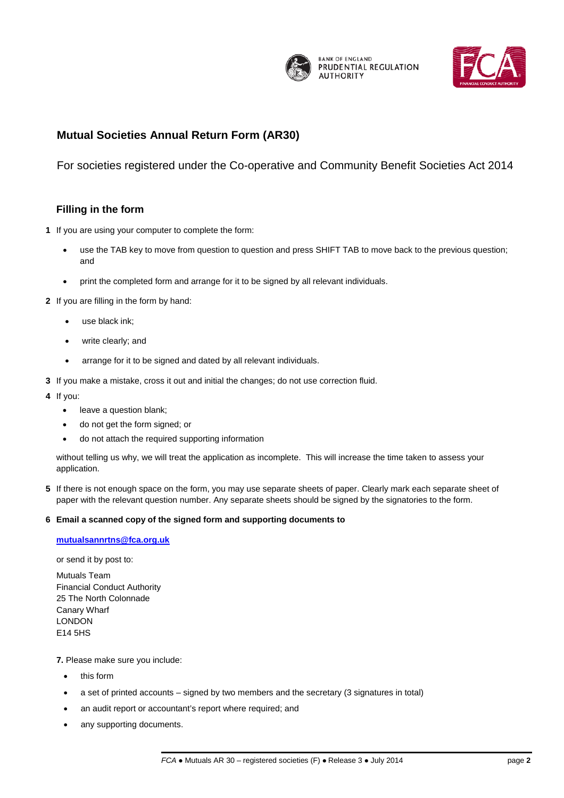

**BANK OF ENGLAND** PRUDENTIAL REGULATION **AUTHORITY** 



# **Mutual Societies Annual Return Mutual Societies Annual Return Form (AR30)**

For societies registered under the Co-operative and Community Benefit Societies Act 2014

# **Filling in the form**

- **1** If you are using your computer to complete the form:
	- use the TAB key to move from question to question and press SHIFT TAB to move back to the previous question; and
	- print the completed form and arrange for it to be signed by all relevant individuals.
- **2** If you are filling in the form by hand:
	- use black ink;
	- write clearly; and
	- arrange for it to be signed and dated by all relevant individuals.
- **3** If you make a mistake, cross it out and initial the changes; do not use correction fluid.
- **4** If you:
	- leave a question blank;
	- do not get the form signed; or
	- do not attach the required supporting information

without telling us why, we will treat the application as incomplete. This will increase the time taken to assess your application.

**5** If there is not enough space on the form, you may use separate sheets of paper. Clearly mark each separate sheet of paper with the relevant question number. Any separate sheets should be signed by the signatories to the form.

#### **6 Email a scanned copy of the signed form and supporting documents to**

## **[mutualsannrtns@fca.org.uk](mailto:mutualsannrtns@fca.org.uk)**

or send it by post to:

Mutuals Team Financial Conduct Authority 25 The North Colonnade Canary Wharf LONDON E14 5HS

**7.** Please make sure you include:

- this form
- a set of printed accounts signed by two members and the secretary (3 signatures in total)
- an audit report or accountant's report where required; and
- any supporting documents.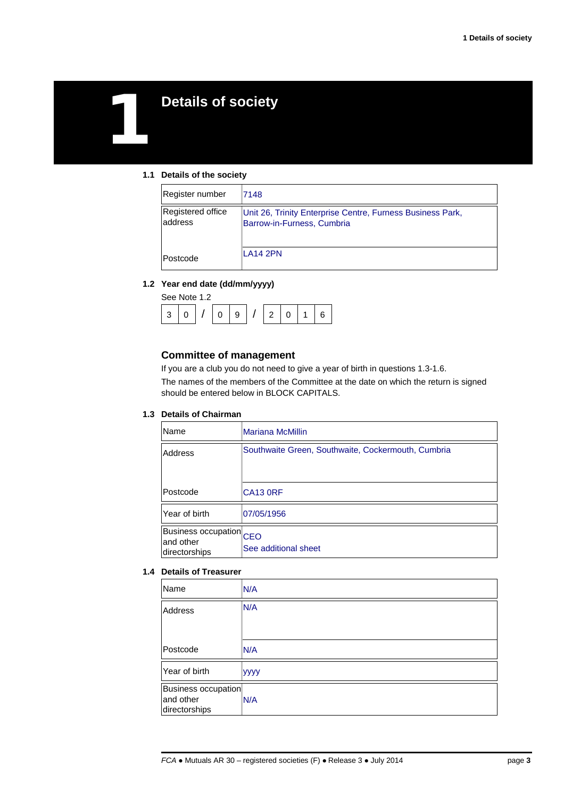# 1 **Details of society**

#### **1.1 Details of the society**

| Register number              | 7148                                                                                     |
|------------------------------|------------------------------------------------------------------------------------------|
| Registered office<br>address | Unit 26, Trinity Enterprise Centre, Furness Business Park,<br>Barrow-in-Furness, Cumbria |
| Postcode                     | <b>LA14 2PN</b>                                                                          |

#### **1.2 Year end date (dd/mm/yyyy)**

|  | See Note 1.2 |  |   |  |  |
|--|--------------|--|---|--|--|
|  |              |  | ົ |  |  |

## **Committee of management**

If you are a club you do not need to give a year of birth in questions 1.3-1.6. The names of the members of the Committee at the date on which the return is signed should be entered below in BLOCK CAPITALS.

### **1.3 Details of Chairman**

| Name                                                  | <b>Mariana McMillin</b>                            |
|-------------------------------------------------------|----------------------------------------------------|
| Address                                               | Southwaite Green, Southwaite, Cockermouth, Cumbria |
| Postcode                                              | <b>CA13 0RF</b>                                    |
| Year of birth                                         | 07/05/1956                                         |
| Business occupation CEO<br>and other<br>directorships | See additional sheet                               |

#### **1.4 Details of Treasurer**

| Name                                              | N/A         |
|---------------------------------------------------|-------------|
| <b>Address</b>                                    | N/A         |
| Postcode                                          | N/A         |
| Year of birth                                     | <b>yyyy</b> |
| Business occupation<br>and other<br>directorships | N/A         |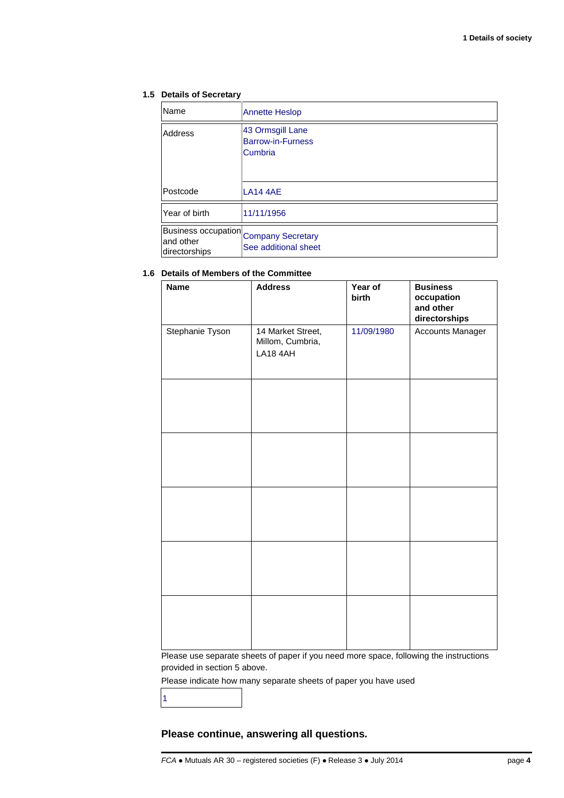### **1.5 Details of Secretary**

| Name                                                                | <b>Annette Heslop</b>                                   |
|---------------------------------------------------------------------|---------------------------------------------------------|
| Address                                                             | 43 Ormsgill Lane<br><b>Barrow-in-Furness</b><br>Cumbria |
| Postcode                                                            | LA14 4AE                                                |
| Year of birth                                                       | 11/11/1956                                              |
| Business occupation Company Secretary<br>and other<br>directorships | See additional sheet                                    |

## **1.6 Details of Members of the Committee**

| <b>Name</b>     | <b>Address</b>                                    | Year of<br>birth | <b>Business</b><br>occupation<br>and other<br>directorships |
|-----------------|---------------------------------------------------|------------------|-------------------------------------------------------------|
| Stephanie Tyson | 14 Market Street,<br>Millom, Cumbria,<br>LA18 4AH | 11/09/1980       | Accounts Manager                                            |
|                 |                                                   |                  |                                                             |
|                 |                                                   |                  |                                                             |
|                 |                                                   |                  |                                                             |
|                 |                                                   |                  |                                                             |
|                 |                                                   |                  |                                                             |

Please use separate sheets of paper if you need more space, following the instructions provided in section 5 above.

Please indicate how many separate sheets of paper you have used

1

## **Please continue, answering all questions.**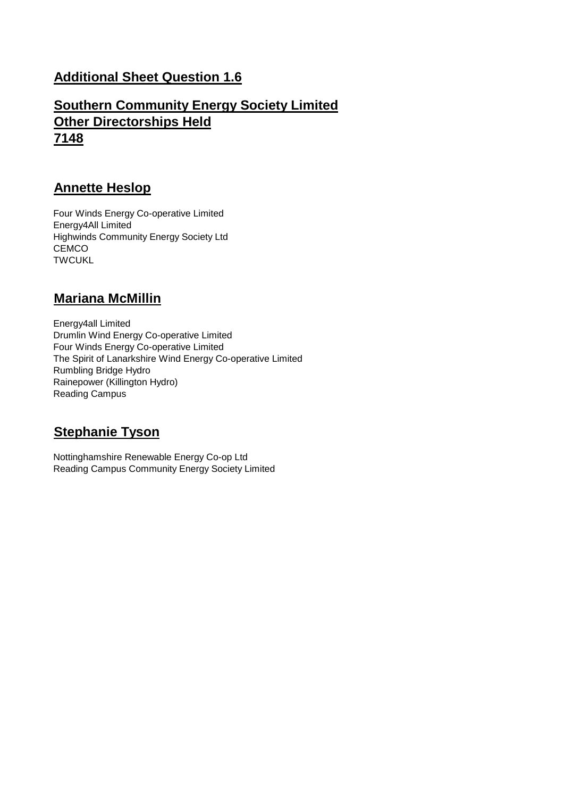# **Additional Sheet Question 1.6**

# **Southern Community Energy Society Limited Other Directorships Held 7148**

# **Annette Heslop**

Four Winds Energy Co-operative Limited Energy4All Limited Highwinds Community Energy Society Ltd CEMCO **TWCUKL** 

# **Mariana McMillin**

Energy4all Limited Drumlin Wind Energy Co-operative Limited Four Winds Energy Co-operative Limited The Spirit of Lanarkshire Wind Energy Co-operative Limited Rumbling Bridge Hydro Rainepower (Killington Hydro) Reading Campus

# **Stephanie Tyson**

Nottinghamshire Renewable Energy Co-op Ltd Reading Campus Community Energy Society Limited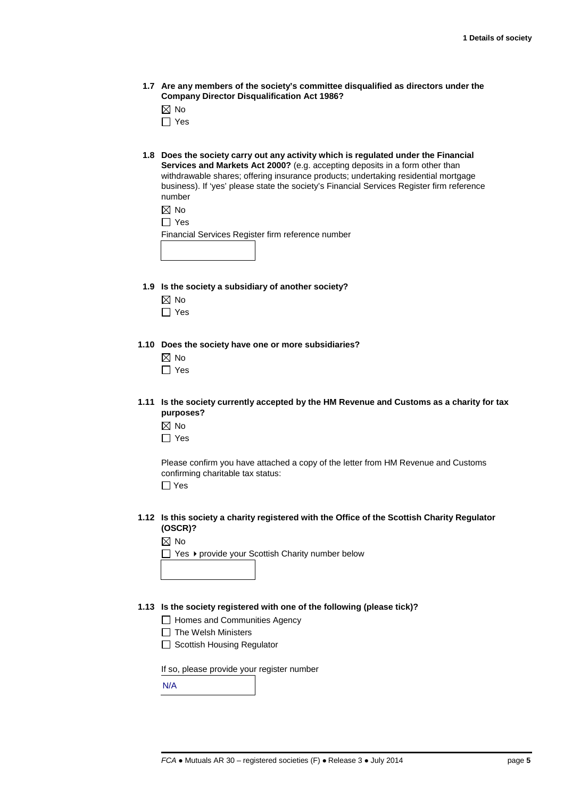**1.7 Are any members of the society's committee disqualified as directors under the Company Director Disqualification Act 1986?**

 $\boxtimes$  No

- □ Yes
- **1.8 Does the society carry out any activity which is regulated under the Financial Services and Markets Act 2000?** (e.g. accepting deposits in a form other than withdrawable shares; offering insurance products; undertaking residential mortgage business). If 'yes' please state the society's Financial Services Register firm reference number

|  | ×<br>۰, |
|--|---------|
|--|---------|

Financial Services Register firm reference number

- **1.9 Is the society a subsidiary of another society?**
	- ⊠ No
	- $\Box$  Yes

**1.10 Does the society have one or more subsidiaries?**

- $\boxtimes$  No
- $\Box$  Yes
- **1.11 Is the society currently accepted by the HM Revenue and Customs as a charity for tax purposes?**
	- $\boxtimes$  No
	- $\Box$  Yes

Please confirm you have attached a copy of the letter from HM Revenue and Customs confirming charitable tax status:

Yes

**1.12 Is this society a charity registered with the Office of the Scottish Charity Regulator (OSCR)?**

|  | ٠ |
|--|---|
|--|---|

 $\Box$  Yes  $\blacktriangleright$  provide your Scottish Charity number below

#### **1.13 Is the society registered with one of the following (please tick)?**

□ Homes and Communities Agency

 $\Box$  The Welsh Ministers

□ Scottish Housing Regulator

If so, please provide your register number

N/A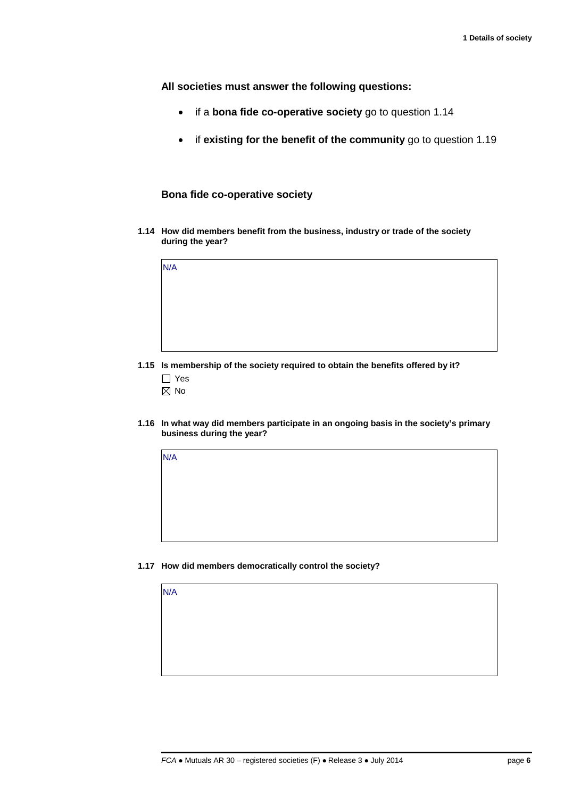**All societies must answer the following questions:**

- if a **bona fide co-operative society** go to question 1.14
- if **existing for the benefit of the community** go to question 1.19

## **Bona fide co-operative society**

**1.14 How did members benefit from the business, industry or trade of the society during the year?**

| N/A |  |  |  |
|-----|--|--|--|
|     |  |  |  |
|     |  |  |  |
|     |  |  |  |
|     |  |  |  |

- **1.15 Is membership of the society required to obtain the benefits offered by it?** □ Yes
	- $\boxtimes$  No

N/A

N/A

**1.16 In what way did members participate in an ongoing basis in the society's primary business during the year?** 

**1.17 How did members democratically control the society?**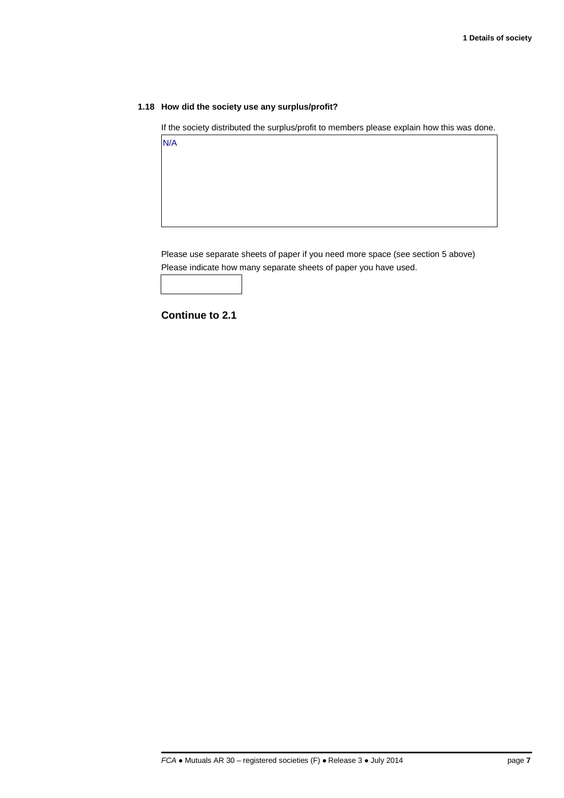#### **1.18 How did the society use any surplus/profit?**

If the society distributed the surplus/profit to members please explain how this was done.

Please use separate sheets of paper if you need more space (see section 5 above)

Please indicate how many separate sheets of paper you have used.

**Continue to 2.1**

N/A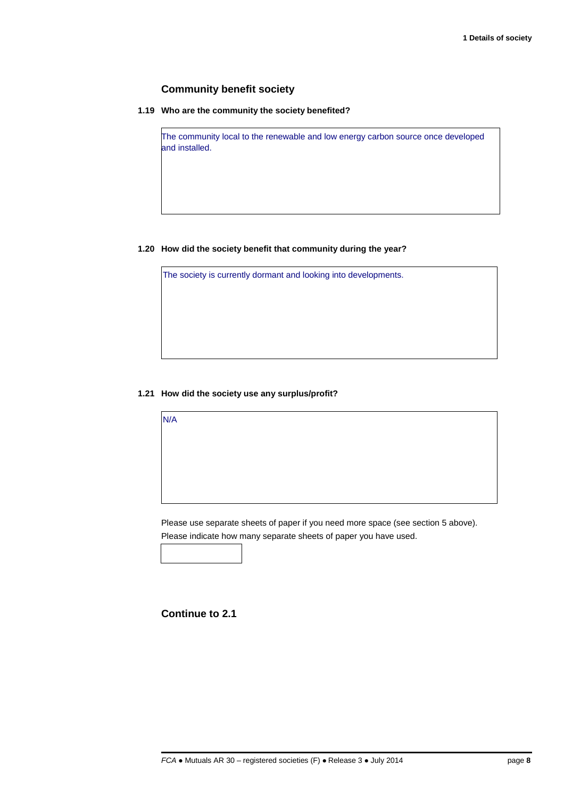## **Community benefit society**

**1.19 Who are the community the society benefited?**

The community local to the renewable and low energy carbon source once developed and installed.

### **1.20 How did the society benefit that community during the year?**

The society is currently dormant and looking into developments.

### **1.21 How did the society use any surplus/profit?**

Please use separate sheets of paper if you need more space (see section 5 above).

Please indicate how many separate sheets of paper you have used.

## **Continue to 2.1**

N/A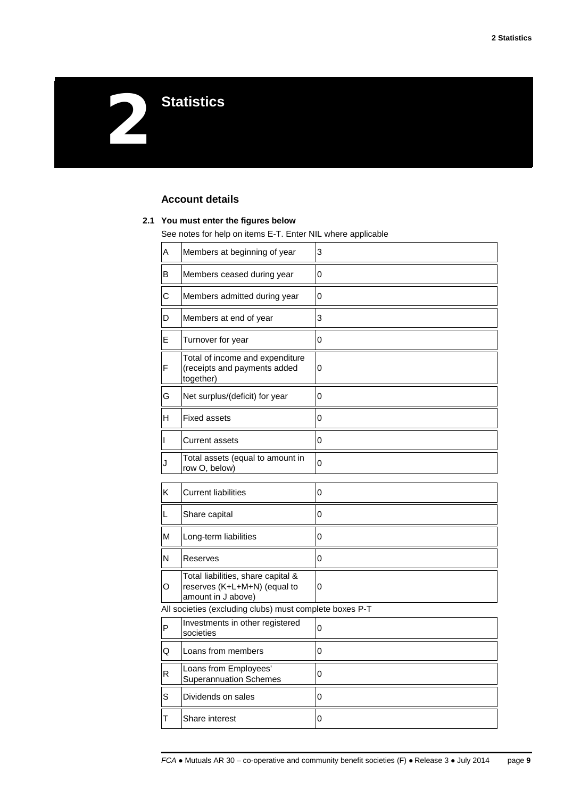2**Statistics**

## **Account details**

#### **2.1 You must enter the figures below**

See notes for help on items E-T. Enter NIL where applicable

| Α                                                       | Members at beginning of year                                                             | 3           |  |
|---------------------------------------------------------|------------------------------------------------------------------------------------------|-------------|--|
| B                                                       | Members ceased during year                                                               | $\mathbf 0$ |  |
| С                                                       | Members admitted during year                                                             | 0           |  |
| D                                                       | Members at end of year                                                                   | 3           |  |
| Е                                                       | Turnover for year                                                                        | 0           |  |
| F                                                       | Total of income and expenditure<br>(receipts and payments added<br>together)             | 0           |  |
| G                                                       | Net surplus/(deficit) for year                                                           | 0           |  |
| н                                                       | <b>Fixed assets</b>                                                                      | 0           |  |
| T                                                       | Current assets                                                                           | 0           |  |
| J                                                       | Total assets (equal to amount in<br>row O, below)                                        | 0           |  |
| Κ                                                       | <b>Current liabilities</b>                                                               | 0           |  |
| L                                                       | Share capital                                                                            | 0           |  |
| М                                                       | Long-term liabilities                                                                    | 0           |  |
| N                                                       | Reserves                                                                                 | 0           |  |
| O                                                       | Total liabilities, share capital &<br>reserves (K+L+M+N) (equal to<br>amount in J above) | 0           |  |
| All societies (excluding clubs) must complete boxes P-T |                                                                                          |             |  |
| P                                                       | Investments in other registered<br>societies                                             | 0           |  |
| Q                                                       | Loans from members                                                                       | 0           |  |
| R                                                       | Loans from Employees'<br><b>Superannuation Schemes</b>                                   | 0           |  |
| S                                                       | Dividends on sales                                                                       | 0           |  |
| Т                                                       | Share interest                                                                           | 0           |  |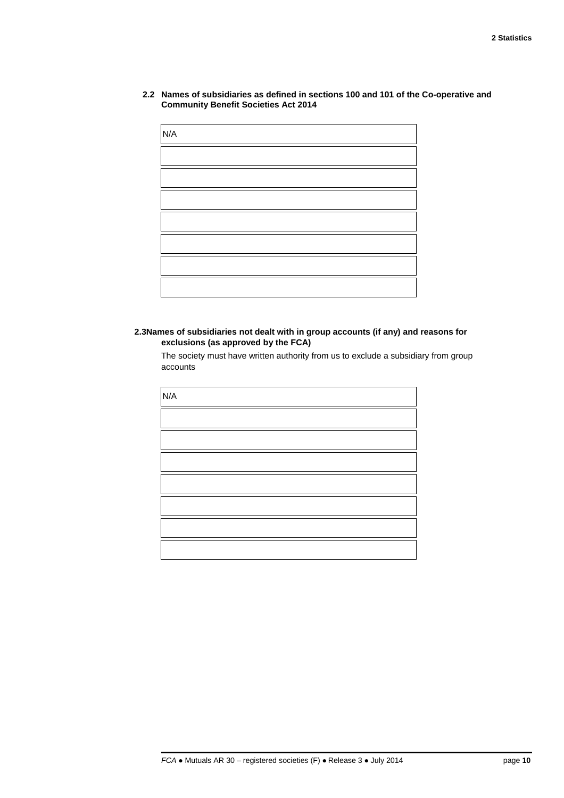**2.2 Names of subsidiaries as defined in sections 100 and 101 of the Co-operative and Community Benefit Societies Act 2014**

| N/A |  |  |
|-----|--|--|
|     |  |  |
|     |  |  |
|     |  |  |
|     |  |  |
|     |  |  |
|     |  |  |
|     |  |  |

**2.3Names of subsidiaries not dealt with in group accounts (if any) and reasons for exclusions (as approved by the FCA)**

The society must have written authority from us to exclude a subsidiary from group accounts

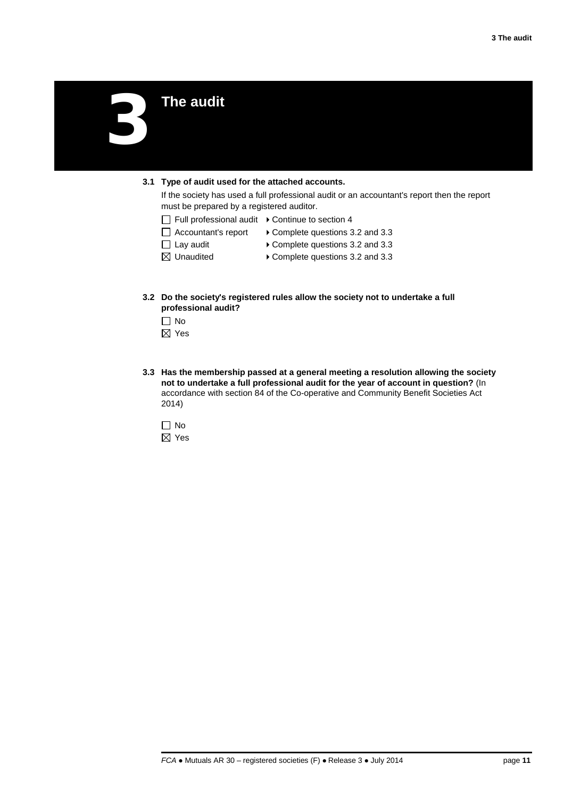3**The audit**

#### **3.1 Type of audit used for the attached accounts.**

If the society has used a full professional audit or an accountant's report then the report must be prepared by a registered auditor.

- $\Box$  Full professional audit  $\rightarrow$  Continue to section 4
- $\Box$  Accountant's report  $\rightarrow$  Complete questions 3.2 and 3.3
- □ Lay audit **Complete questions 3.2 and 3.3**
- 
- $\boxtimes$  Unaudited  $\longrightarrow$  Complete questions 3.2 and 3.3
- **3.2 Do the society's registered rules allow the society not to undertake a full professional audit?**
	- □ No
	- ⊠ Yes
- **3.3 Has the membership passed at a general meeting a resolution allowing the society not to undertake a full professional audit for the year of account in question?** (In accordance with section 84 of the Co-operative and Community Benefit Societies Act 2014)

□ No ⊠ Yes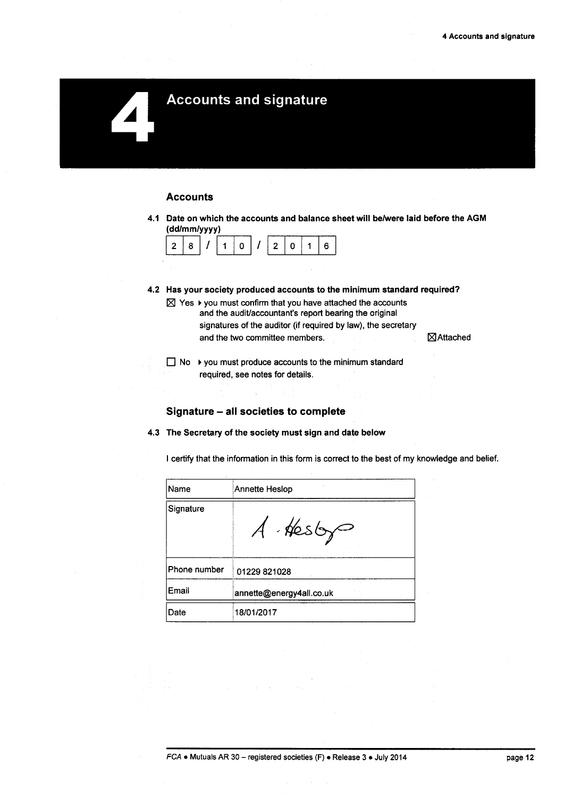# **Accounts and signature**

#### **Accounts**

4.1 Date on which the accounts and balance sheet will be/were laid before the AGM (dd/mm/yyyy)



4.2 Has your society produced accounts to the minimum standard required?  $\boxtimes$  Yes  $\blacktriangleright$  you must confirm that you have attached the accounts

and the audit/accountant's report bearing the original signatures of the auditor (if required by law), the secretary and the two committee members.

⊠Attached

 $\Box$  No  $\rightarrow$  you must produce accounts to the minimum standard required, see notes for details.

### Signature - all societies to complete

4.3 The Secretary of the society must sign and date below

I certify that the information in this form is correct to the best of my knowledge and belief.

| Name         | Annette Heslop           |
|--------------|--------------------------|
| Signature    | A Hesty                  |
| Phone number | 01229 821028             |
| Email        | annette@energy4all.co.uk |
| Date         | 18/01/2017               |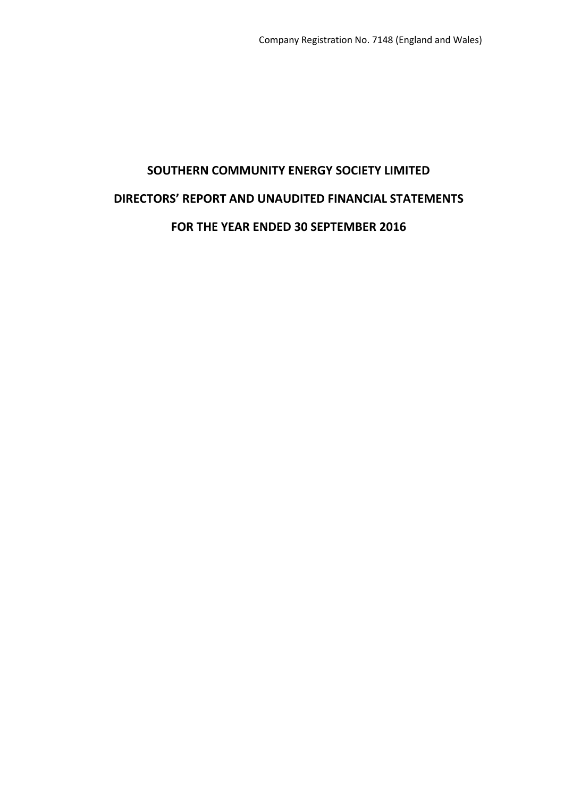# **SOUTHERN COMMUNITY ENERGY SOCIETY LIMITED DIRECTORS' REPORT AND UNAUDITED FINANCIAL STATEMENTS FOR THE YEAR ENDED 30 SEPTEMBER 2016**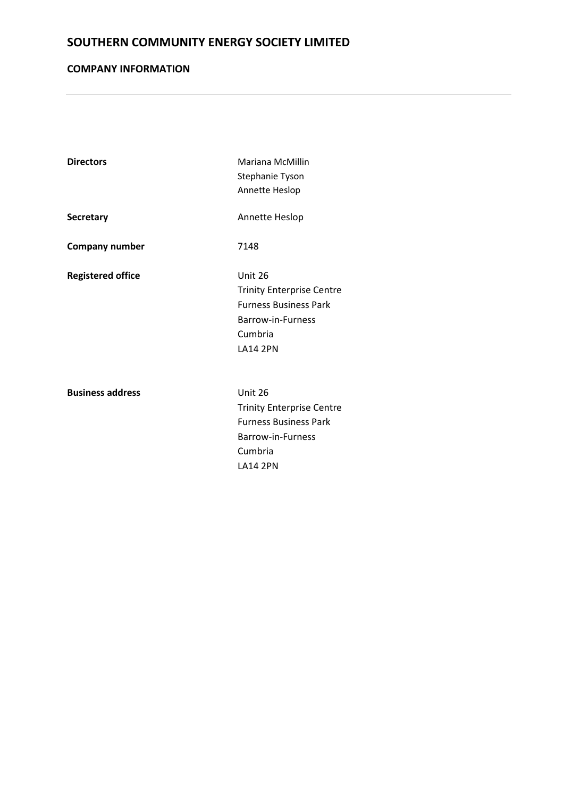# **COMPANY INFORMATION**

| <b>Directors</b>         | Mariana McMillin<br>Stephanie Tyson<br>Annette Heslop                                                                          |
|--------------------------|--------------------------------------------------------------------------------------------------------------------------------|
| <b>Secretary</b>         | Annette Heslop                                                                                                                 |
| <b>Company number</b>    | 7148                                                                                                                           |
| <b>Registered office</b> | Unit 26<br><b>Trinity Enterprise Centre</b><br><b>Furness Business Park</b><br>Barrow-in-Furness<br>Cumbria<br><b>LA14 2PN</b> |
| <b>Business address</b>  | Unit 26<br><b>Trinity Enterprise Centre</b><br><b>Furness Business Park</b><br>Barrow-in-Furness<br>Cumbria<br><b>LA14 2PN</b> |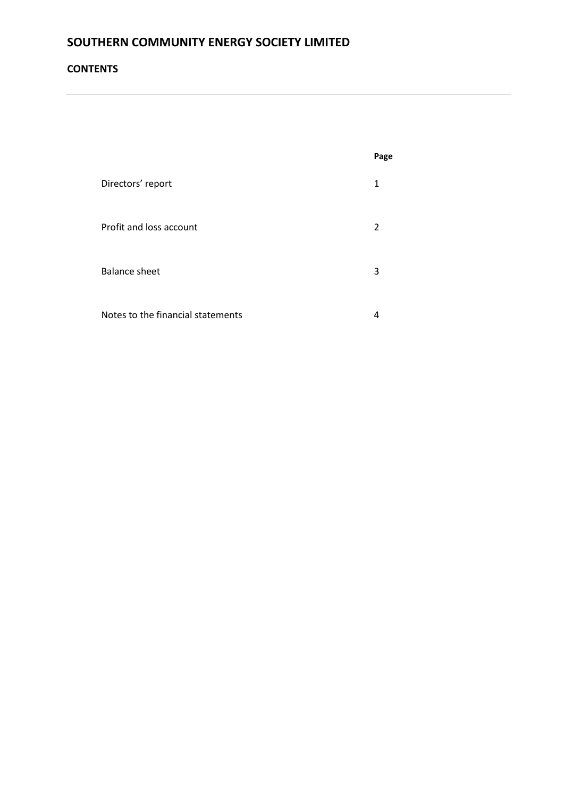# **CONTENTS**

|                                   | Page |
|-----------------------------------|------|
| Directors' report                 | 1    |
| Profit and loss account           | 2    |
| <b>Balance sheet</b>              | 3    |
| Notes to the financial statements | 4    |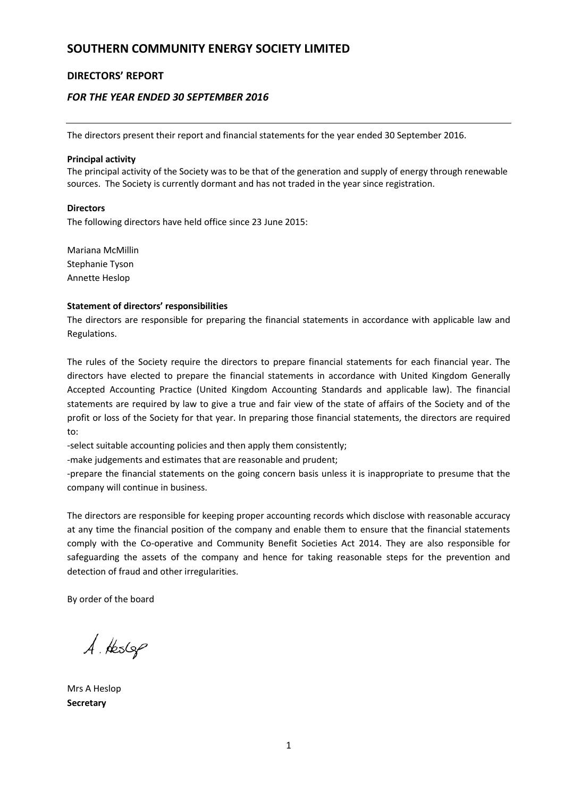## **DIRECTORS' REPORT**

## *FOR THE YEAR ENDED 30 SEPTEMBER 2016*

The directors present their report and financial statements for the year ended 30 September 2016.

#### **Principal activity**

The principal activity of the Society was to be that of the generation and supply of energy through renewable sources. The Society is currently dormant and has not traded in the year since registration.

#### **Directors**

The following directors have held office since 23 June 2015:

Mariana McMillin Stephanie Tyson Annette Heslop

#### **Statement of directors' responsibilities**

The directors are responsible for preparing the financial statements in accordance with applicable law and Regulations.

The rules of the Society require the directors to prepare financial statements for each financial year. The directors have elected to prepare the financial statements in accordance with United Kingdom Generally Accepted Accounting Practice (United Kingdom Accounting Standards and applicable law). The financial statements are required by law to give a true and fair view of the state of affairs of the Society and of the profit or loss of the Society for that year. In preparing those financial statements, the directors are required to:

-select suitable accounting policies and then apply them consistently;

-make judgements and estimates that are reasonable and prudent;

-prepare the financial statements on the going concern basis unless it is inappropriate to presume that the company will continue in business.

The directors are responsible for keeping proper accounting records which disclose with reasonable accuracy at any time the financial position of the company and enable them to ensure that the financial statements comply with the Co-operative and Community Benefit Societies Act 2014. They are also responsible for safeguarding the assets of the company and hence for taking reasonable steps for the prevention and detection of fraud and other irregularities.

By order of the board

 $A$  Heslep

Mrs A Heslop **Secretary**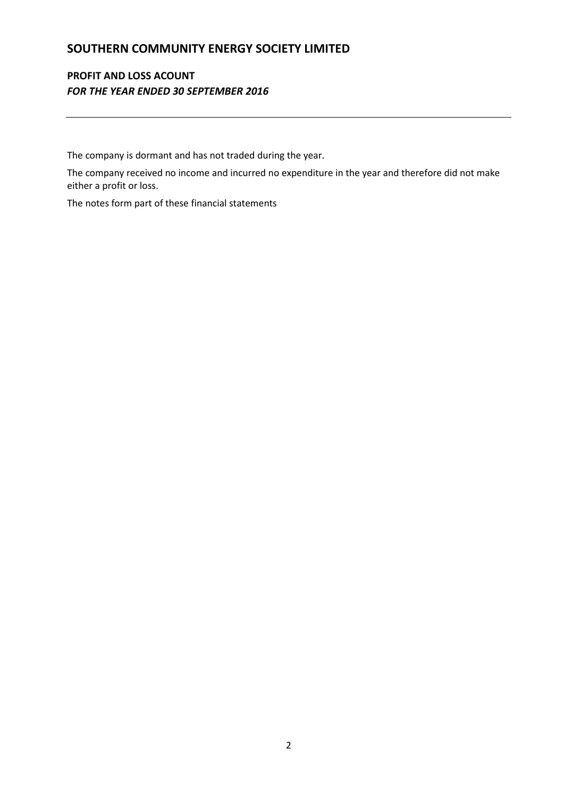# **PROFIT AND LOSS ACOUNT** *FOR THE YEAR ENDED 30 SEPTEMBER 2016*

The company is dormant and has not traded during the year.

The company received no income and incurred no expenditure in the year and therefore did not make either a profit or loss.

The notes form part of these financial statements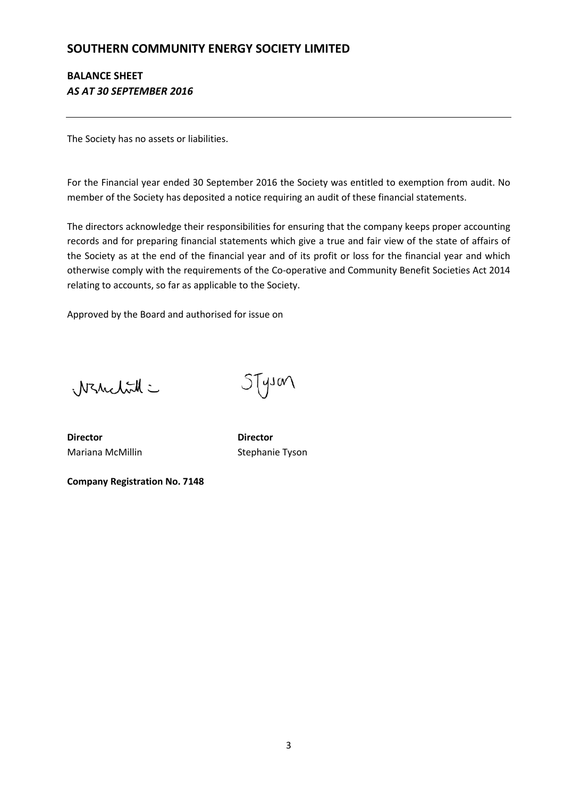# **BALANCE SHEET** *AS AT 30 SEPTEMBER 2016*

The Society has no assets or liabilities.

For the Financial year ended 30 September 2016 the Society was entitled to exemption from audit. No member of the Society has deposited a notice requiring an audit of these financial statements.

The directors acknowledge their responsibilities for ensuring that the company keeps proper accounting records and for preparing financial statements which give a true and fair view of the state of affairs of the Society as at the end of the financial year and of its profit or loss for the financial year and which otherwise comply with the requirements of the Co-operative and Community Benefit Societies Act 2014 relating to accounts, so far as applicable to the Society.

Approved by the Board and authorised for issue on

Warrelitt =

STyson

**Director Director** Mariana McMillin Stephanie Tyson

**Company Registration No. 7148**